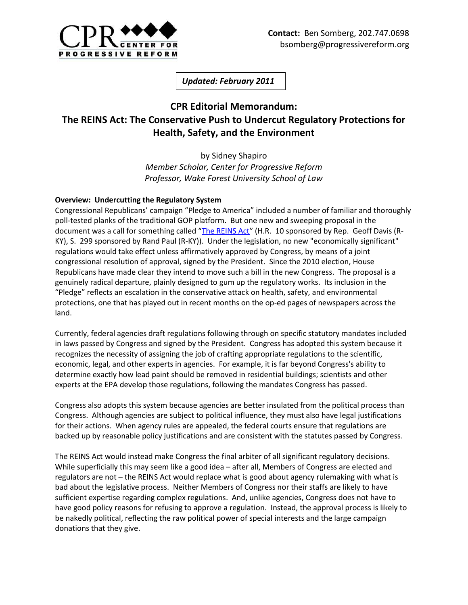

*Updated: February 2011*

## **CPR Editorial Memorandum: The REINS Act: The Conservative Push to Undercut Regulatory Protections for Health, Safety, and the Environment**

by Sidney Shapiro *Member Scholar, Center for Progressive Reform Professor, Wake Forest University School of Law*

## **Overview: Undercutting the Regulatory System**

Congressional Republicans' campaign "Pledge to America" included a number of familiar and thoroughly poll-tested planks of the traditional GOP platform. But one new and sweeping proposal in the document was a call for something called "[The REINS Act](http://frwebgate.access.gpo.gov/cgi-bin/getdoc.cgi?dbname=111_cong_bills&docid=f:h3765ih.txt.pdf)" (H.R. 10 sponsored by Rep. Geoff Davis (R-KY), S. 299 sponsored by Rand Paul (R-KY)). Under the legislation, no new "economically significant" regulations would take effect unless affirmatively approved by Congress, by means of a joint congressional resolution of approval, signed by the President. Since the 2010 election, House Republicans have made clear they intend to move such a bill in the new Congress. The proposal is a genuinely radical departure, plainly designed to gum up the regulatory works. Its inclusion in the "Pledge" reflects an escalation in the conservative attack on health, safety, and environmental protections, one that has played out in recent months on the op-ed pages of newspapers across the land.

Currently, federal agencies draft regulations following through on specific statutory mandates included in laws passed by Congress and signed by the President. Congress has adopted this system because it recognizes the necessity of assigning the job of crafting appropriate regulations to the scientific, economic, legal, and other experts in agencies. For example, it is far beyond Congress's ability to determine exactly how lead paint should be removed in residential buildings; scientists and other experts at the EPA develop those regulations, following the mandates Congress has passed.

Congress also adopts this system because agencies are better insulated from the political process than Congress. Although agencies are subject to political influence, they must also have legal justifications for their actions. When agency rules are appealed, the federal courts ensure that regulations are backed up by reasonable policy justifications and are consistent with the statutes passed by Congress.

The REINS Act would instead make Congress the final arbiter of all significant regulatory decisions. While superficially this may seem like a good idea – after all, Members of Congress are elected and regulators are not – the REINS Act would replace what is good about agency rulemaking with what is bad about the legislative process. Neither Members of Congress nor their staffs are likely to have sufficient expertise regarding complex regulations. And, unlike agencies, Congress does not have to have good policy reasons for refusing to approve a regulation. Instead, the approval process is likely to be nakedly political, reflecting the raw political power of special interests and the large campaign donations that they give.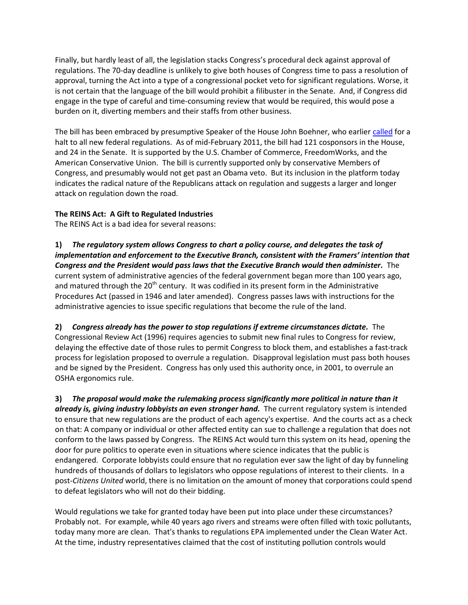Finally, but hardly least of all, the legislation stacks Congress's procedural deck against approval of regulations. The 70-day deadline is unlikely to give both houses of Congress time to pass a resolution of approval, turning the Act into a type of a congressional pocket veto for significant regulations. Worse, it is not certain that the language of the bill would prohibit a filibuster in the Senate. And, if Congress did engage in the type of careful and time-consuming review that would be required, this would pose a burden on it, diverting members and their staffs from other business.

The bill has been embraced by presumptive Speaker of the House John Boehner, who earlie[r called](http://voices.washingtonpost.com/plum-line/2010/07/boehner_no_more_federal_regula.html) for a halt to all new federal regulations. As of mid-February 2011, the bill had 121 cosponsors in the House, and 24 in the Senate. It is supported by the U.S. Chamber of Commerce, FreedomWorks, and the American Conservative Union. The bill is currently supported only by conservative Members of Congress, and presumably would not get past an Obama veto. But its inclusion in the platform today indicates the radical nature of the Republicans attack on regulation and suggests a larger and longer attack on regulation down the road.

## **The REINS Act: A Gift to Regulated Industries**

The REINS Act is a bad idea for several reasons:

**1)** *The regulatory system allows Congress to chart a policy course, and delegates the task of implementation and enforcement to the Executive Branch, consistent with the Framers' intention that Congress and the President would pass laws that the Executive Branch would then administer.* The current system of administrative agencies of the federal government began more than 100 years ago, and matured through the 20<sup>th</sup> century. It was codified in its present form in the Administrative Procedures Act (passed in 1946 and later amended). Congress passes laws with instructions for the administrative agencies to issue specific regulations that become the rule of the land.

**2)** *Congress already has the power to stop regulations if extreme circumstances dictate.* The Congressional Review Act (1996) requires agencies to submit new final rules to Congress for review, delaying the effective date of those rules to permit Congress to block them, and establishes a fast-track process for legislation proposed to overrule a regulation. Disapproval legislation must pass both houses and be signed by the President. Congress has only used this authority once, in 2001, to overrule an OSHA ergonomics rule.

**3)** *The proposal would make the rulemaking process significantly more political in nature than it already is, giving industry lobbyists an even stronger hand.* The current regulatory system is intended to ensure that new regulations are the product of each agency's expertise. And the courts act as a check on that: A company or individual or other affected entity can sue to challenge a regulation that does not conform to the laws passed by Congress. The REINS Act would turn this system on its head, opening the door for pure politics to operate even in situations where science indicates that the public is endangered. Corporate lobbyists could ensure that no regulation ever saw the light of day by funneling hundreds of thousands of dollars to legislators who oppose regulations of interest to their clients. In a post-*Citizens United* world, there is no limitation on the amount of money that corporations could spend to defeat legislators who will not do their bidding.

Would regulations we take for granted today have been put into place under these circumstances? Probably not. For example, while 40 years ago rivers and streams were often filled with toxic pollutants, today many more are clean. That's thanks to regulations EPA implemented under the Clean Water Act. At the time, industry representatives claimed that the cost of instituting pollution controls would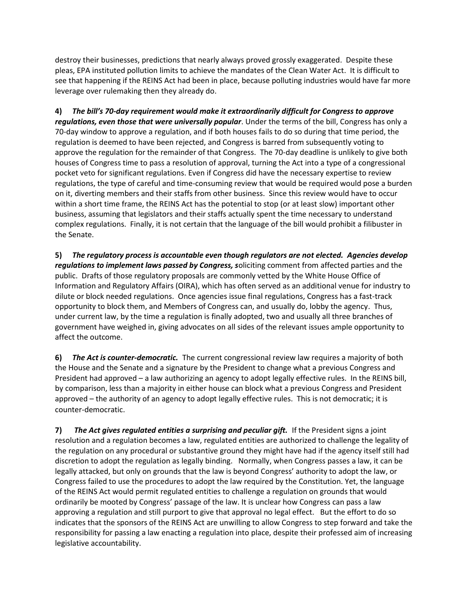destroy their businesses, predictions that nearly always proved grossly exaggerated. Despite these pleas, EPA instituted pollution limits to achieve the mandates of the Clean Water Act. It is difficult to see that happening if the REINS Act had been in place, because polluting industries would have far more leverage over rulemaking then they already do.

**4)** *The bill's 70-day requirement would make it extraordinarily difficult for Congress to approve regulations, even those that were universally popular*. Under the terms of the bill, Congress has only a 70-day window to approve a regulation, and if both houses fails to do so during that time period, the regulation is deemed to have been rejected, and Congress is barred from subsequently voting to approve the regulation for the remainder of that Congress. The 70-day deadline is unlikely to give both houses of Congress time to pass a resolution of approval, turning the Act into a type of a congressional pocket veto for significant regulations. Even if Congress did have the necessary expertise to review regulations, the type of careful and time-consuming review that would be required would pose a burden on it, diverting members and their staffs from other business. Since this review would have to occur within a short time frame, the REINS Act has the potential to stop (or at least slow) important other business, assuming that legislators and their staffs actually spent the time necessary to understand complex regulations. Finally, it is not certain that the language of the bill would prohibit a filibuster in the Senate.

**5)** *The regulatory process is accountable even though regulators are not elected. Agencies develop regulations to implement laws passed by Congress, s*oliciting comment from affected parties and the public. Drafts of those regulatory proposals are commonly vetted by the White House Office of Information and Regulatory Affairs (OIRA), which has often served as an additional venue for industry to dilute or block needed regulations. Once agencies issue final regulations, Congress has a fast-track opportunity to block them, and Members of Congress can, and usually do, lobby the agency. Thus, under current law, by the time a regulation is finally adopted, two and usually all three branches of government have weighed in, giving advocates on all sides of the relevant issues ample opportunity to affect the outcome.

**6)** *The Act is counter-democratic.* The current congressional review law requires a majority of both the House and the Senate and a signature by the President to change what a previous Congress and President had approved – a law authorizing an agency to adopt legally effective rules. In the REINS bill, by comparison, less than a majority in either house can block what a previous Congress and President approved – the authority of an agency to adopt legally effective rules. This is not democratic; it is counter-democratic.

**7)** *The Act gives regulated entities a surprising and peculiar gift.*If the President signs a joint resolution and a regulation becomes a law, regulated entities are authorized to challenge the legality of the regulation on any procedural or substantive ground they might have had if the agency itself still had discretion to adopt the regulation as legally binding. Normally, when Congress passes a law, it can be legally attacked, but only on grounds that the law is beyond Congress' authority to adopt the law, or Congress failed to use the procedures to adopt the law required by the Constitution. Yet, the language of the REINS Act would permit regulated entities to challenge a regulation on grounds that would ordinarily be mooted by Congress' passage of the law. It is unclear how Congress can pass a law approving a regulation and still purport to give that approval no legal effect. But the effort to do so indicates that the sponsors of the REINS Act are unwilling to allow Congress to step forward and take the responsibility for passing a law enacting a regulation into place, despite their professed aim of increasing legislative accountability.